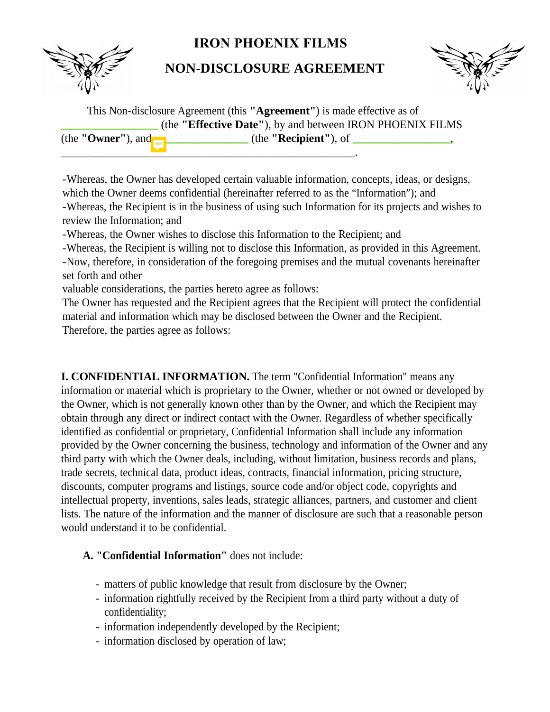## **IRON PHOENIX FILMS**

**NON-DISCLOSURE AGREEMENT**



This Non-disclosure Agreement (this **"Agreement"**) is made effective as of \_\_\_\_\_\_\_\_\_\_\_\_\_\_\_\_\_ (the **"Effective Date"**), by and between IRON PHOENIX FILMS (the **"Owner"**), and \_\_\_\_\_\_\_\_\_\_\_\_\_\_\_\_\_ (the **"Recipient"**), of \_\_\_\_\_\_\_\_\_\_\_\_\_\_\_\_\_, \_\_\_\_\_\_\_\_\_\_\_\_\_\_\_\_\_\_\_\_\_\_\_\_\_\_\_\_\_\_\_\_\_\_\_\_\_\_\_\_\_\_\_\_\_\_\_\_\_\_\_.

-Whereas, the Owner has developed certain valuable information, concepts, ideas, or designs, which the Owner deems confidential (hereinafter referred to as the "Information"); and -Whereas, the Recipient is in the business of using such Information for its projects and wishes to review the Information; and

-Whereas, the Owner wishes to disclose this Information to the Recipient; and

-Whereas, the Recipient is willing not to disclose this Information, as provided in this Agreement. -Now, therefore, in consideration of the foregoing premises and the mutual covenants hereinafter set forth and other

valuable considerations, the parties hereto agree as follows:

The Owner has requested and the Recipient agrees that the Recipient will protect the confidential material and information which may be disclosed between the Owner and the Recipient. Therefore, the parties agree as follows:

**I. CONFIDENTIAL INFORMATION.** The term "Confidential Information" means any information or material which is proprietary to the Owner, whether or not owned or developed by the Owner, which is not generally known other than by the Owner, and which the Recipient may obtain through any direct or indirect contact with the Owner. Regardless of whether specifically identified as confidential or proprietary, Confidential Information shall include any information provided by the Owner concerning the business, technology and information of the Owner and any third party with which the Owner deals, including, without limitation, business records and plans, trade secrets, technical data, product ideas, contracts, financial information, pricing structure, discounts, computer programs and listings, source code and/or object code, copyrights and intellectual property, inventions, sales leads, strategic alliances, partners, and customer and client lists. The nature of the information and the manner of disclosure are such that a reasonable person would understand it to be confidential.

## **A. "Confidential Information"** does not include:

- matters of public knowledge that result from disclosure by the Owner;
- information rightfully received by the Recipient from a third party without a duty of confidentiality;
- information independently developed by the Recipient;
- information disclosed by operation of law;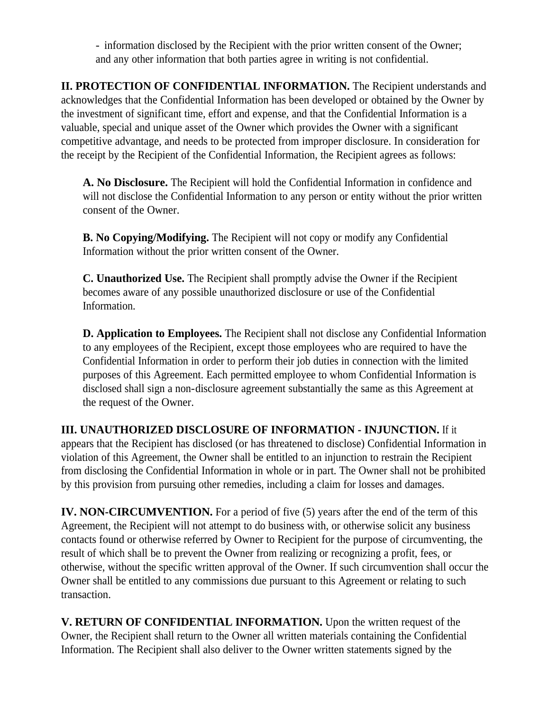and any other information that both parties agree in writing is not confidential. - information disclosed by the Recipient with the prior written consent of the Owner;

**II. PROTECTION OF CONFIDENTIAL INFORMATION.** The Recipient understands and acknowledges that the Confidential Information has been developed or obtained by the Owner by the investment of significant time, effort and expense, and that the Confidential Information is a valuable, special and unique asset of the Owner which provides the Owner with a significant competitive advantage, and needs to be protected from improper disclosure. In consideration for the receipt by the Recipient of the Confidential Information, the Recipient agrees as follows:

**A. No Disclosure.** The Recipient will hold the Confidential Information in confidence and will not disclose the Confidential Information to any person or entity without the prior written consent of the Owner.

**B. No Copying/Modifying.** The Recipient will not copy or modify any Confidential Information without the prior written consent of the Owner.

**C. Unauthorized Use.** The Recipient shall promptly advise the Owner if the Recipient becomes aware of any possible unauthorized disclosure or use of the Confidential Information.

**D. Application to Employees.** The Recipient shall not disclose any Confidential Information to any employees of the Recipient, except those employees who are required to have the Confidential Information in order to perform their job duties in connection with the limited purposes of this Agreement. Each permitted employee to whom Confidential Information is disclosed shall sign a non-disclosure agreement substantially the same as this Agreement at the request of the Owner.

**III. UNAUTHORIZED DISCLOSURE OF INFORMATION - INJUNCTION.** If it appears that the Recipient has disclosed (or has threatened to disclose) Confidential Information in violation of this Agreement, the Owner shall be entitled to an injunction to restrain the Recipient from disclosing the Confidential Information in whole or in part. The Owner shall not be prohibited by this provision from pursuing other remedies, including a claim for losses and damages.

**IV. NON-CIRCUMVENTION.** For a period of five (5) years after the end of the term of this Agreement, the Recipient will not attempt to do business with, or otherwise solicit any business contacts found or otherwise referred by Owner to Recipient for the purpose of circumventing, the result of which shall be to prevent the Owner from realizing or recognizing a profit, fees, or otherwise, without the specific written approval of the Owner. If such circumvention shall occur the Owner shall be entitled to any commissions due pursuant to this Agreement or relating to such transaction.

**V. RETURN OF CONFIDENTIAL INFORMATION.** Upon the written request of the Owner, the Recipient shall return to the Owner all written materials containing the Confidential Information. The Recipient shall also deliver to the Owner written statements signed by the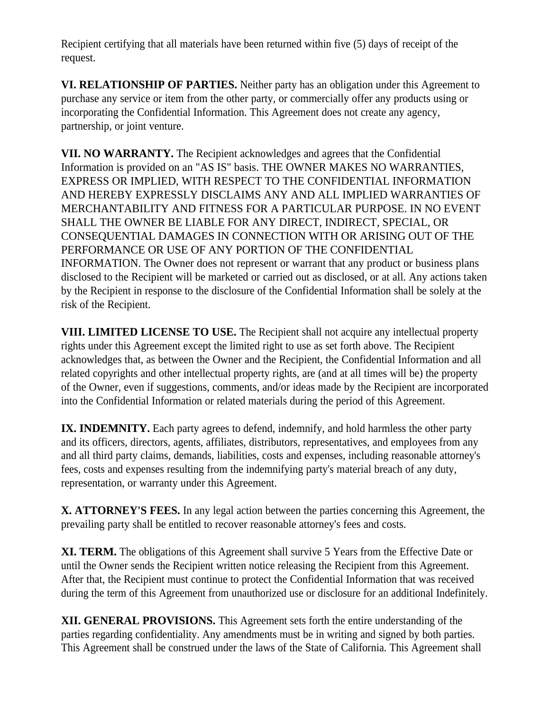Recipient certifying that all materials have been returned within five (5) days of receipt of the request.

**VI. RELATIONSHIP OF PARTIES.** Neither party has an obligation under this Agreement to purchase any service or item from the other party, or commercially offer any products using or incorporating the Confidential Information. This Agreement does not create any agency, partnership, or joint venture.

**VII. NO WARRANTY.** The Recipient acknowledges and agrees that the Confidential Information is provided on an "AS IS" basis. THE OWNER MAKES NO WARRANTIES, EXPRESS OR IMPLIED, WITH RESPECT TO THE CONFIDENTIAL INFORMATION AND HEREBY EXPRESSLY DISCLAIMS ANY AND ALL IMPLIED WARRANTIES OF MERCHANTABILITY AND FITNESS FOR A PARTICULAR PURPOSE. IN NO EVENT SHALL THE OWNER BE LIABLE FOR ANY DIRECT, INDIRECT, SPECIAL, OR CONSEQUENTIAL DAMAGES IN CONNECTION WITH OR ARISING OUT OF THE PERFORMANCE OR USE OF ANY PORTION OF THE CONFIDENTIAL INFORMATION. The Owner does not represent or warrant that any product or business plans disclosed to the Recipient will be marketed or carried out as disclosed, or at all. Any actions taken by the Recipient in response to the disclosure of the Confidential Information shall be solely at the risk of the Recipient.

**VIII. LIMITED LICENSE TO USE.** The Recipient shall not acquire any intellectual property rights under this Agreement except the limited right to use as set forth above. The Recipient acknowledges that, as between the Owner and the Recipient, the Confidential Information and all related copyrights and other intellectual property rights, are (and at all times will be) the property of the Owner, even if suggestions, comments, and/or ideas made by the Recipient are incorporated into the Confidential Information or related materials during the period of this Agreement.

**IX. INDEMNITY.** Each party agrees to defend, indemnify, and hold harmless the other party and its officers, directors, agents, affiliates, distributors, representatives, and employees from any and all third party claims, demands, liabilities, costs and expenses, including reasonable attorney's fees, costs and expenses resulting from the indemnifying party's material breach of any duty, representation, or warranty under this Agreement.

**X. ATTORNEY'S FEES.** In any legal action between the parties concerning this Agreement, the prevailing party shall be entitled to recover reasonable attorney's fees and costs.

**XI. TERM.** The obligations of this Agreement shall survive 5 Years from the Effective Date or until the Owner sends the Recipient written notice releasing the Recipient from this Agreement. After that, the Recipient must continue to protect the Confidential Information that was received during the term of this Agreement from unauthorized use or disclosure for an additional Indefinitely.

**XII. GENERAL PROVISIONS.** This Agreement sets forth the entire understanding of the parties regarding confidentiality. Any amendments must be in writing and signed by both parties. This Agreement shall be construed under the laws of the State of California. This Agreement shall